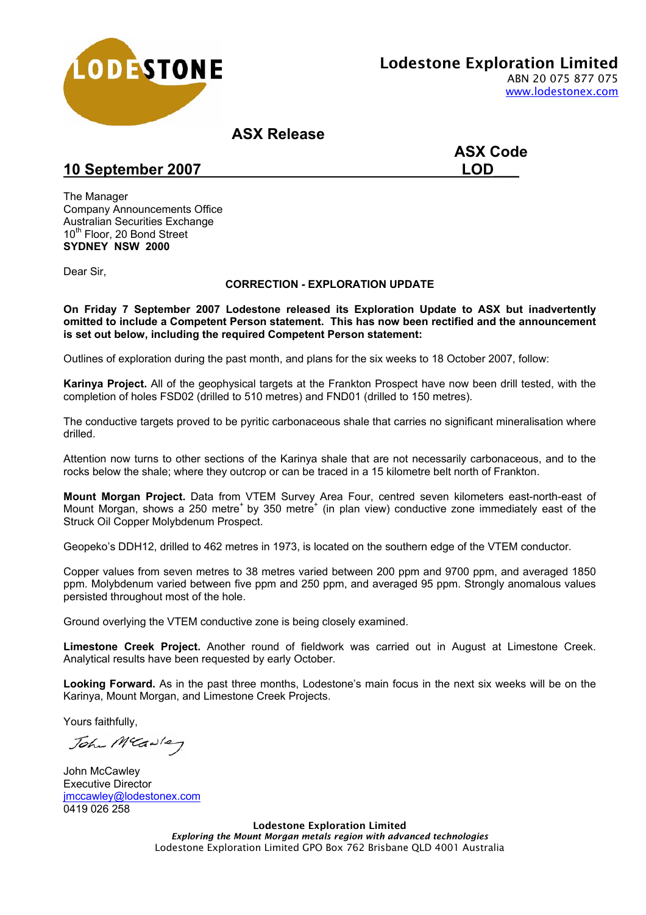

**ASX Release** 

**ASX Code** 

## 10 September 2007 **LOD**

The Manager Company Announcements Office Australian Securities Exchange 10<sup>th</sup> Floor, 20 Bond Street **SYDNEY NSW 2000** 

Dear Sir,

## **CORRECTION - EXPLORATION UPDATE**

**On Friday 7 September 2007 Lodestone released its Exploration Update to ASX but inadvertently omitted to include a Competent Person statement. This has now been rectified and the announcement is set out below, including the required Competent Person statement:** 

Outlines of exploration during the past month, and plans for the six weeks to 18 October 2007, follow:

**Karinya Project.** All of the geophysical targets at the Frankton Prospect have now been drill tested, with the completion of holes FSD02 (drilled to 510 metres) and FND01 (drilled to 150 metres).

The conductive targets proved to be pyritic carbonaceous shale that carries no significant mineralisation where drilled.

Attention now turns to other sections of the Karinya shale that are not necessarily carbonaceous, and to the rocks below the shale; where they outcrop or can be traced in a 15 kilometre belt north of Frankton.

**Mount Morgan Project.** Data from VTEM Survey Area Four, centred seven kilometers east-north-east of Mount Morgan, shows a 250 metre<sup>+</sup> by 350 metre<sup>+</sup> (in plan view) conductive zone immediately east of the Struck Oil Copper Molybdenum Prospect.

Geopeko's DDH12, drilled to 462 metres in 1973, is located on the southern edge of the VTEM conductor.

Copper values from seven metres to 38 metres varied between 200 ppm and 9700 ppm, and averaged 1850 ppm. Molybdenum varied between five ppm and 250 ppm, and averaged 95 ppm. Strongly anomalous values persisted throughout most of the hole.

Ground overlying the VTEM conductive zone is being closely examined.

**Limestone Creek Project.** Another round of fieldwork was carried out in August at Limestone Creek. Analytical results have been requested by early October.

**Looking Forward.** As in the past three months, Lodestone's main focus in the next six weeks will be on the Karinya, Mount Morgan, and Limestone Creek Projects.

Yours faithfully,

John MCawley

John McCawley Executive Director jmccawley@lodestonex.com 0419 026 258

> Lodestone Exploration Limited *Exploring the Mount Morgan metals region with advanced technologies*  Lodestone Exploration Limited GPO Box 762 Brisbane QLD 4001 Australia